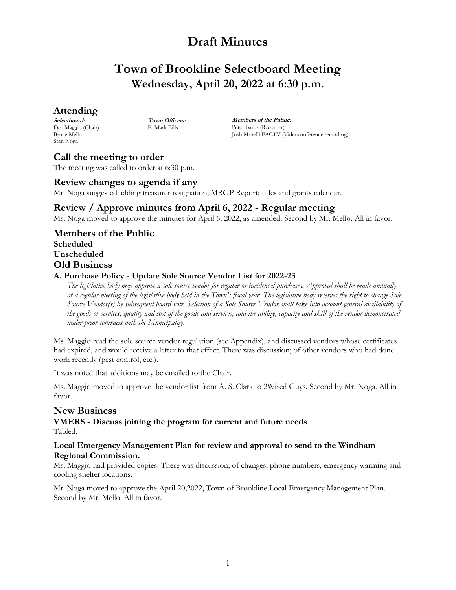# **Town of Brookline Selectboard Meeting Wednesday, April 20, 2022 at 6:30 p.m.**

### **Attending**

**Selectboard:** Dot Maggio (Chair) Bruce Mello Stan Noga

**Town Officers:** E. Mark Bills

**Members of the Public:** Peter Barus (Recorder) Josh Morelli FACTV (Videoconference recording)

### **Call the meeting to order**

The meeting was called to order at 6:30 p.m.

### **Review changes to agenda if any**

Mr. Noga suggested adding treasurer resignation; MRGP Report; titles and grants calendar.

### **Review / Approve minutes from April 6, 2022 - Regular meeting**

Ms. Noga moved to approve the minutes for April 6, 2022, as amended. Second by Mr. Mello. All in favor.

**Members of the Public Scheduled Unscheduled Old Business**

### **A. Purchase Policy - Update Sole Source Vendor List for 2022-23**

*The legislative body may approve a sole source vendor for regular or incidental purchases. Approval shall be made annually at a regular meeting of the legislative body held in the Town's fiscal year. The legislative body reserves the right to change Sole Source Vendor(s) by subsequent board vote. Selection of a Sole Source Vendor shall take into account general availability of the goods or services, quality and cost of the goods and services, and the ability, capacity and skill of the vendor demonstrated under prior contracts with the Municipality.* 

Ms. Maggio read the sole source vendor regulation (see Appendix), and discussed vendors whose certificates had expired, and would receive a letter to that effect. There was discussion; of other vendors who had done work recently (pest control, etc.).

It was noted that additions may be emailed to the Chair.

Ms. Maggio moved to approve the vendor list from A. S. Clark to 2Wired Guys. Second by Mr. Noga. All in favor.

### **New Business**

**VMERS - Discuss joining the program for current and future needs**  Tabled.

#### **Local Emergency Management Plan for review and approval to send to the Windham Regional Commission.**

Ms. Maggio had provided copies. There was discussion; of changes, phone numbers, emergency warming and cooling shelter locations.

Mr. Noga moved to approve the April 20,2022, Town of Brookline Local Emergency Management Plan. Second by Mr. Mello. All in favor.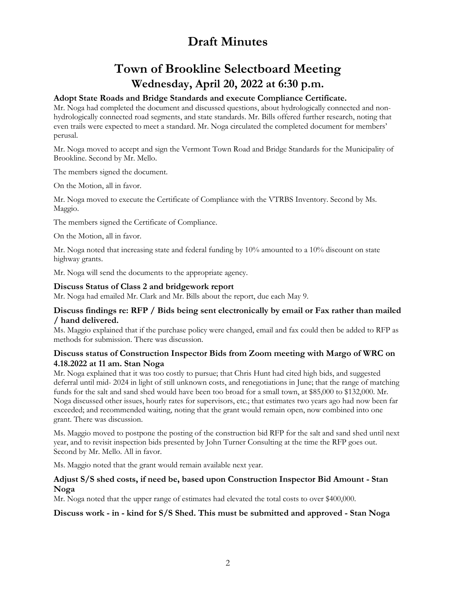# **Town of Brookline Selectboard Meeting Wednesday, April 20, 2022 at 6:30 p.m.**

### **Adopt State Roads and Bridge Standards and execute Compliance Certificate.**

Mr. Noga had completed the document and discussed questions, about hydrologically connected and nonhydrologically connected road segments, and state standards. Mr. Bills offered further research, noting that even trails were expected to meet a standard. Mr. Noga circulated the completed document for members' perusal.

Mr. Noga moved to accept and sign the Vermont Town Road and Bridge Standards for the Municipality of Brookline. Second by Mr. Mello.

The members signed the document.

On the Motion, all in favor.

Mr. Noga moved to execute the Certificate of Compliance with the VTRBS Inventory. Second by Ms. Maggio.

The members signed the Certificate of Compliance.

On the Motion, all in favor.

Mr. Noga noted that increasing state and federal funding by 10% amounted to a 10% discount on state highway grants.

Mr. Noga will send the documents to the appropriate agency.

#### **Discuss Status of Class 2 and bridgework report**

Mr. Noga had emailed Mr. Clark and Mr. Bills about the report, due each May 9.

#### **Discuss findings re: RFP / Bids being sent electronically by email or Fax rather than mailed / hand delivered.**

Ms. Maggio explained that if the purchase policy were changed, email and fax could then be added to RFP as methods for submission. There was discussion.

#### **Discuss status of Construction Inspector Bids from Zoom meeting with Margo of WRC on 4.18.2022 at 11 am. Stan Noga**

Mr. Noga explained that it was too costly to pursue; that Chris Hunt had cited high bids, and suggested deferral until mid- 2024 in light of still unknown costs, and renegotiations in June; that the range of matching funds for the salt and sand shed would have been too broad for a small town, at \$85,000 to \$132,000. Mr. Noga discussed other issues, hourly rates for supervisors, etc.; that estimates two years ago had now been far exceeded; and recommended waiting, noting that the grant would remain open, now combined into one grant. There was discussion.

Ms. Maggio moved to postpone the posting of the construction bid RFP for the salt and sand shed until next year, and to revisit inspection bids presented by John Turner Consulting at the time the RFP goes out. Second by Mr. Mello. All in favor.

Ms. Maggio noted that the grant would remain available next year.

#### **Adjust S/S shed costs, if need be, based upon Construction Inspector Bid Amount - Stan Noga**

Mr. Noga noted that the upper range of estimates had elevated the total costs to over \$400,000.

#### **Discuss work - in - kind for S/S Shed. This must be submitted and approved - Stan Noga**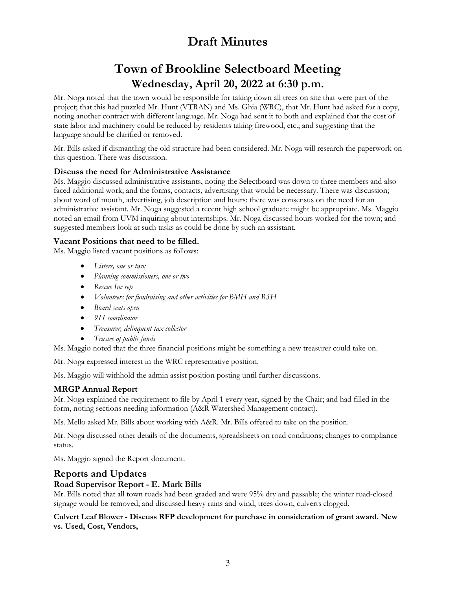# **Town of Brookline Selectboard Meeting Wednesday, April 20, 2022 at 6:30 p.m.**

Mr. Noga noted that the town would be responsible for taking down all trees on site that were part of the project; that this had puzzled Mr. Hunt (VTRAN) and Ms. Ghia (WRC), that Mr. Hunt had asked for a copy, noting another contract with different language. Mr. Noga had sent it to both and explained that the cost of state labor and machinery could be reduced by residents taking firewood, etc.; and suggesting that the language should be clarified or removed.

Mr. Bills asked if dismantling the old structure had been considered. Mr. Noga will research the paperwork on this question. There was discussion.

### **Discuss the need for Administrative Assistance**

Ms. Maggio discussed administrative assistants, noting the Selectboard was down to three members and also faced additional work; and the forms, contacts, advertising that would be necessary. There was discussion; about word of mouth, advertising, job description and hours; there was consensus on the need for an administrative assistant. Mr. Noga suggested a recent high school graduate might be appropriate. Ms. Maggio noted an email from UVM inquiring about internships. Mr. Noga discussed hours worked for the town; and suggested members look at such tasks as could be done by such an assistant.

### **Vacant Positions that need to be filled.**

Ms. Maggio listed vacant positions as follows:

- *Listers, one or two;*
- *Planning commissioners, one or two*
- *Rescue Inc rep*
- *Volunteers for fundraising and other activities for BMH and RSH*
- *Board seats open*
- *911 coordinator*
- *Treasurer, delinquent tax collector*
- *Trustee of public funds*

Ms. Maggio noted that the three financial positions might be something a new treasurer could take on.

Mr. Noga expressed interest in the WRC representative position.

Ms. Maggio will withhold the admin assist position posting until further discussions.

### **MRGP Annual Report**

Mr. Noga explained the requirement to file by April 1 every year, signed by the Chair; and had filled in the form, noting sections needing information (A&R Watershed Management contact).

Ms. Mello asked Mr. Bills about working with A&R. Mr. Bills offered to take on the position.

Mr. Noga discussed other details of the documents, spreadsheets on road conditions; changes to compliance status.

Ms. Maggio signed the Report document.

### **Reports and Updates**

### **Road Supervisor Report - E. Mark Bills**

Mr. Bills noted that all town roads had been graded and were 95% dry and passable; the winter road-closed signage would be removed; and discussed heavy rains and wind, trees down, culverts clogged.

**Culvert Leaf Blower - Discuss RFP development for purchase in consideration of grant award. New vs. Used, Cost, Vendors,**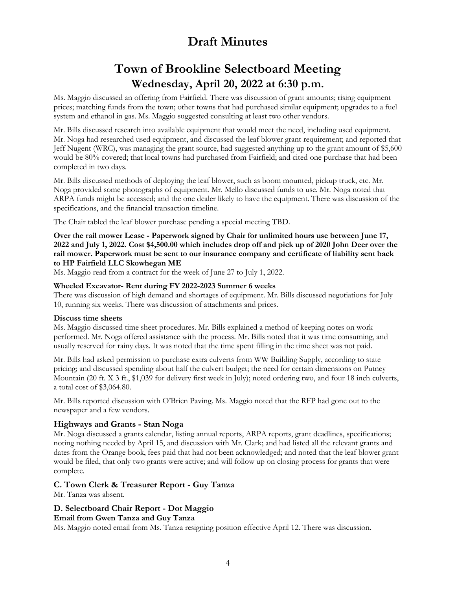# **Town of Brookline Selectboard Meeting Wednesday, April 20, 2022 at 6:30 p.m.**

Ms. Maggio discussed an offering from Fairfield. There was discussion of grant amounts; rising equipment prices; matching funds from the town; other towns that had purchased similar equipment; upgrades to a fuel system and ethanol in gas. Ms. Maggio suggested consulting at least two other vendors.

Mr. Bills discussed research into available equipment that would meet the need, including used equipment. Mr. Noga had researched used equipment, and discussed the leaf blower grant requirement; and reported that Jeff Nugent (WRC), was managing the grant source, had suggested anything up to the grant amount of \$5,600 would be 80% covered; that local towns had purchased from Fairfield; and cited one purchase that had been completed in two days.

Mr. Bills discussed methods of deploying the leaf blower, such as boom mounted, pickup truck, etc. Mr. Noga provided some photographs of equipment. Mr. Mello discussed funds to use. Mr. Noga noted that ARPA funds might be accessed; and the one dealer likely to have the equipment. There was discussion of the specifications, and the financial transaction timeline.

The Chair tabled the leaf blower purchase pending a special meeting TBD.

#### **Over the rail mower Lease - Paperwork signed by Chair for unlimited hours use between June 17, 2022 and July 1, 2022. Cost \$4,500.00 which includes drop off and pick up of 2020 John Deer over the rail mower. Paperwork must be sent to our insurance company and certificate of liability sent back to HP Fairfield LLC Skowhegan ME**

Ms. Maggio read from a contract for the week of June 27 to July 1, 2022.

#### **Wheeled Excavator- Rent during FY 2022-2023 Summer 6 weeks**

There was discussion of high demand and shortages of equipment. Mr. Bills discussed negotiations for July 10, running six weeks. There was discussion of attachments and prices.

#### **Discuss time sheets**

Ms. Maggio discussed time sheet procedures. Mr. Bills explained a method of keeping notes on work performed. Mr. Noga offered assistance with the process. Mr. Bills noted that it was time consuming, and usually reserved for rainy days. It was noted that the time spent filling in the time sheet was not paid.

Mr. Bills had asked permission to purchase extra culverts from WW Building Supply, according to state pricing; and discussed spending about half the culvert budget; the need for certain dimensions on Putney Mountain (20 ft. X 3 ft., \$1,039 for delivery first week in July); noted ordering two, and four 18 inch culverts, a total cost of \$3,064.80.

Mr. Bills reported discussion with O'Brien Paving. Ms. Maggio noted that the RFP had gone out to the newspaper and a few vendors.

### **Highways and Grants - Stan Noga**

Mr. Noga discussed a grants calendar, listing annual reports, ARPA reports, grant deadlines, specifications; noting nothing needed by April 15, and discussion with Mr. Clark; and had listed all the relevant grants and dates from the Orange book, fees paid that had not been acknowledged; and noted that the leaf blower grant would be filed, that only two grants were active; and will follow up on closing process for grants that were complete.

### **C. Town Clerk & Treasurer Report - Guy Tanza**

Mr. Tanza was absent.

### **D. Selectboard Chair Report - Dot Maggio**

**Email from Gwen Tanza and Guy Tanza** 

Ms. Maggio noted email from Ms. Tanza resigning position effective April 12. There was discussion.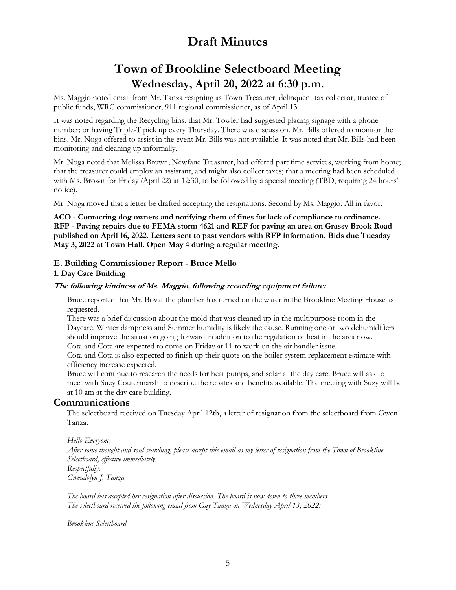# **Town of Brookline Selectboard Meeting Wednesday, April 20, 2022 at 6:30 p.m.**

Ms. Maggio noted email from Mr. Tanza resigning as Town Treasurer, delinquent tax collector, trustee of public funds, WRC commissioner, 911 regional commissioner, as of April 13.

It was noted regarding the Recycling bins, that Mr. Towler had suggested placing signage with a phone number; or having Triple-T pick up every Thursday. There was discussion. Mr. Bills offered to monitor the bins. Mr. Noga offered to assist in the event Mr. Bills was not available. It was noted that Mr. Bills had been monitoring and cleaning up informally.

Mr. Noga noted that Melissa Brown, Newfane Treasurer, had offered part time services, working from home; that the treasurer could employ an assistant, and might also collect taxes; that a meeting had been scheduled with Ms. Brown for Friday (April 22) at 12:30, to be followed by a special meeting (TBD, requiring 24 hours' notice).

Mr. Noga moved that a letter be drafted accepting the resignations. Second by Ms. Maggio. All in favor.

**ACO - Contacting dog owners and notifying them of fines for lack of compliance to ordinance. RFP - Paving repairs due to FEMA storm 4621 and REF for paving an area on Grassy Brook Road published on April 16, 2022. Letters sent to past vendors with RFP information. Bids due Tuesday May 3, 2022 at Town Hall. Open May 4 during a regular meeting.** 

#### **E. Building Commissioner Report - Bruce Mello**

#### **1. Day Care Building**

#### **The following kindness of Ms. Maggio, following recording equipment failure:**

Bruce reported that Mr. Bovat the plumber has turned on the water in the Brookline Meeting House as requested.

There was a brief discussion about the mold that was cleaned up in the multipurpose room in the Daycare. Winter dampness and Summer humidity is likely the cause. Running one or two dehumidifiers should improve the situation going forward in addition to the regulation of heat in the area now. Cota and Cota are expected to come on Friday at 11 to work on the air handler issue.

Cota and Cota is also expected to finish up their quote on the boiler system replacement estimate with efficiency increase expected.

Bruce will continue to research the needs for heat pumps, and solar at the day care. Bruce will ask to meet with Suzy Coutermarsh to describe the rebates and benefits available. The meeting with Suzy will be at 10 am at the day care building.

#### **Communications**

The selectboard received on Tuesday April 12th, a letter of resignation from the selectboard from Gwen Tanza.

*Hello Everyone, After some thought and soul searching, please accept this email as my letter of resignation from the Town of Brookline Selectboard, effective immediately. Respectfully, Gwendolyn J. Tanza*

*The board has accepted her resignation after discussion. The board is now down to three members. The selectboard received the following email from Guy Tanza on Wednesday April 13, 2022:*

*Brookline Selectboard*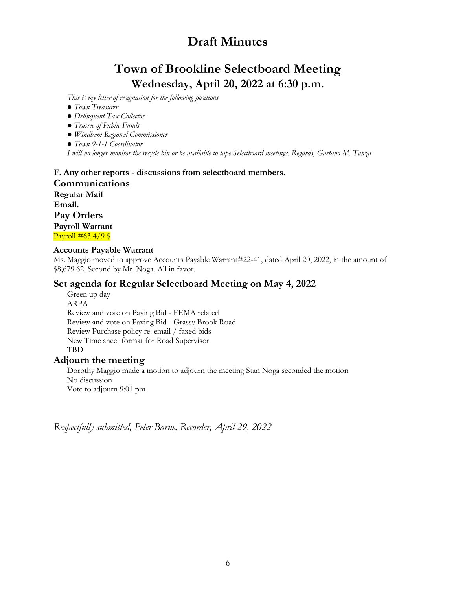# **Town of Brookline Selectboard Meeting Wednesday, April 20, 2022 at 6:30 p.m.**

*This is my letter of resignation for the following positions*

- *Town Treasurer*
- *Delinquent Tax Collector*
- *Trustee of Public Funds*
- *Windham Regional Commissioner*
- *Town 9-1-1 Coordinator*

*I will no longer monitor the recycle bin or be available to tape Selectboard meetings. Regards, Gaetano M. Tanza*

### **F. Any other reports - discussions from selectboard members. Communications Regular Mail Email. Pay Orders Payroll Warrant**  Payroll  $\#$ 63 4/9 \$

#### **Accounts Payable Warrant**

Ms. Maggio moved to approve Accounts Payable Warrant#22-41, dated April 20, 2022, in the amount of \$8,679.62. Second by Mr. Noga. All in favor.

### **Set agenda for Regular Selectboard Meeting on May 4, 2022**

Green up day ARPA Review and vote on Paving Bid - FEMA related Review and vote on Paving Bid - Grassy Brook Road Review Purchase policy re: email / faxed bids New Time sheet format for Road Supervisor **TBD** 

### **Adjourn the meeting**

Dorothy Maggio made a motion to adjourn the meeting Stan Noga seconded the motion No discussion Vote to adjourn 9:01 pm

*Respectfully submitted, Peter Barus, Recorder, April 29, 2022*